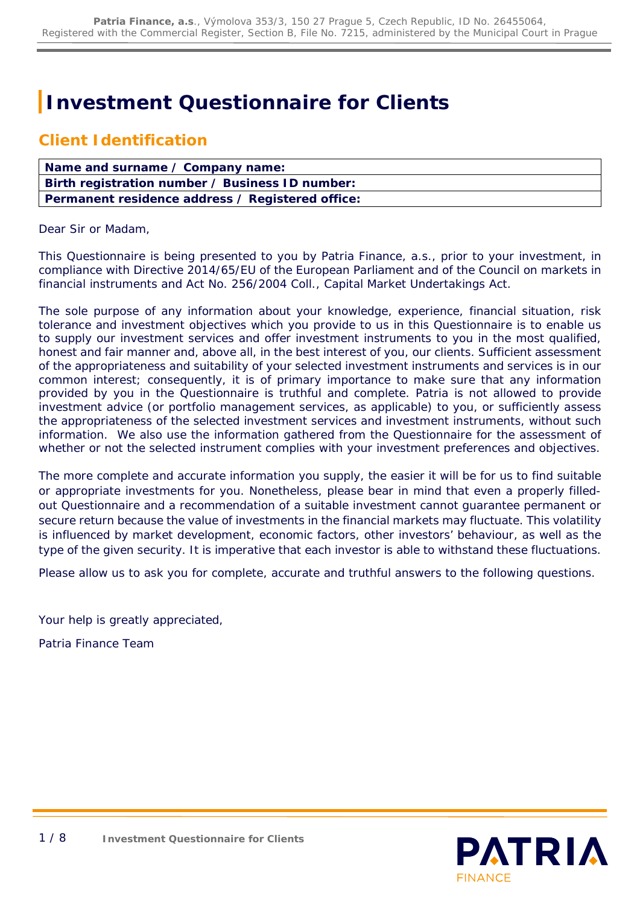# **Investment Questionnaire for Clients**

## **Client Identification**

| Name and surname / Company name:                 |
|--------------------------------------------------|
| Birth registration number / Business ID number:  |
| Permanent residence address / Registered office: |

Dear Sir or Madam,

This Questionnaire is being presented to you by Patria Finance, a.s., prior to your investment, in compliance with Directive 2014/65/EU of the European Parliament and of the Council on markets in financial instruments and Act No. 256/2004 Coll., Capital Market Undertakings Act.

The sole purpose of any information about your knowledge, experience, financial situation, risk tolerance and investment objectives which you provide to us in this Questionnaire is to enable us to supply our investment services and offer investment instruments to you in the most qualified, honest and fair manner and, above all, in the best interest of you, our clients. Sufficient assessment of the appropriateness and suitability of your selected investment instruments and services is in our common interest; consequently, it is of primary importance to make sure that any information provided by you in the Questionnaire is truthful and complete. Patria is not allowed to provide investment advice (or portfolio management services, as applicable) to you, or sufficiently assess the appropriateness of the selected investment services and investment instruments, without such information. We also use the information gathered from the Questionnaire for the assessment of whether or not the selected instrument complies with your investment preferences and objectives.

The more complete and accurate information you supply, the easier it will be for us to find suitable or appropriate investments for you. Nonetheless, please bear in mind that even a properly filledout Questionnaire and a recommendation of a suitable investment cannot guarantee permanent or secure return because the value of investments in the financial markets may fluctuate. This volatility is influenced by market development, economic factors, other investors' behaviour, as well as the type of the given security. It is imperative that each investor is able to withstand these fluctuations.

Please allow us to ask you for complete, accurate and truthful answers to the following questions.

Your help is greatly appreciated,

Patria Finance Team

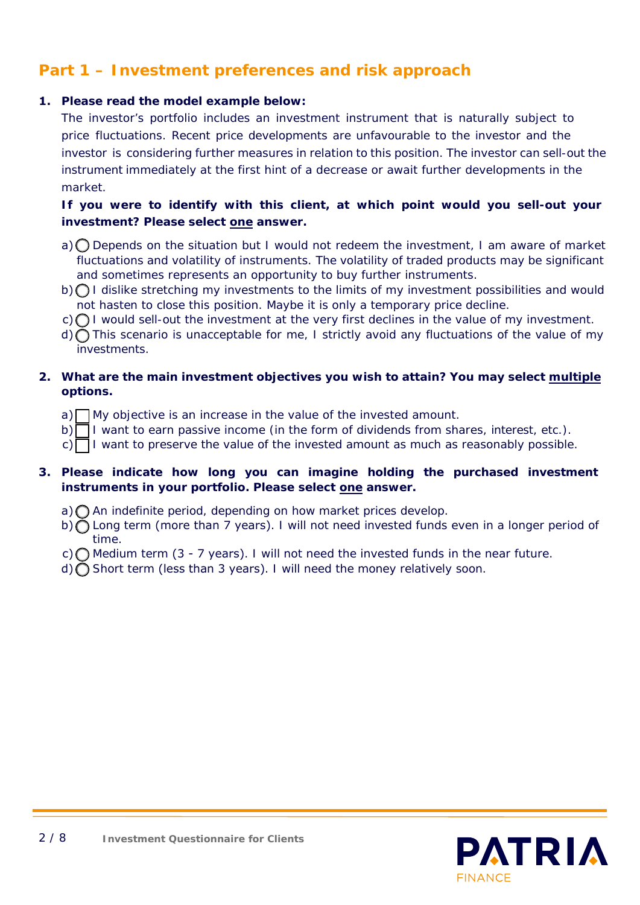## **Part 1 – Investment preferences and risk approach**

### **1. Please read the model example below:**

*The investor's portfolio includes an investment instrument that is naturally subject to price fluctuations. Recent price developments are unfavourable to the investor and the investor is considering further measures in relation to this position. The investor can sell-out the instrument immediately at the first hint of a decrease or await further developments in the market.*

### **If you were to identify with this client, at which point would you sell-out your investment? Please select one answer.**

- $a)$  Depends on the situation but I would not redeem the investment, I am aware of market fluctuations and volatility of instruments. The volatility of traded products may be significant and sometimes represents an opportunity to buy further instruments.
- $b) \bigcap I$  dislike stretching my investments to the limits of my investment possibilities and would not hasten to close this position. Maybe it is only a temporary price decline.
- $c)$  I would sell-out the investment at the very first declines in the value of my investment.
- d) ∩ This scenario is unacceptable for me, I strictly avoid any fluctuations of the value of my investments.

### **2. What are the main investment objectives you wish to attain? You may select multiple options.**

- $a)$  My objective is an increase in the value of the invested amount.
- b) I want to earn passive income (in the form of dividends from shares, interest, etc.).
- $c)$  I want to preserve the value of the invested amount as much as reasonably possible.

### **3. Please indicate how long you can imagine holding the purchased investment instruments in your portfolio. Please select one answer.**

- a) An indefinite period, depending on how market prices develop.
- b) C Long term (more than 7 years). I will not need invested funds even in a longer period of time.
- c)  $\bigcap$  Medium term (3 7 years). I will not need the invested funds in the near future.
- d) Short term (less than 3 years). I will need the money relatively soon.

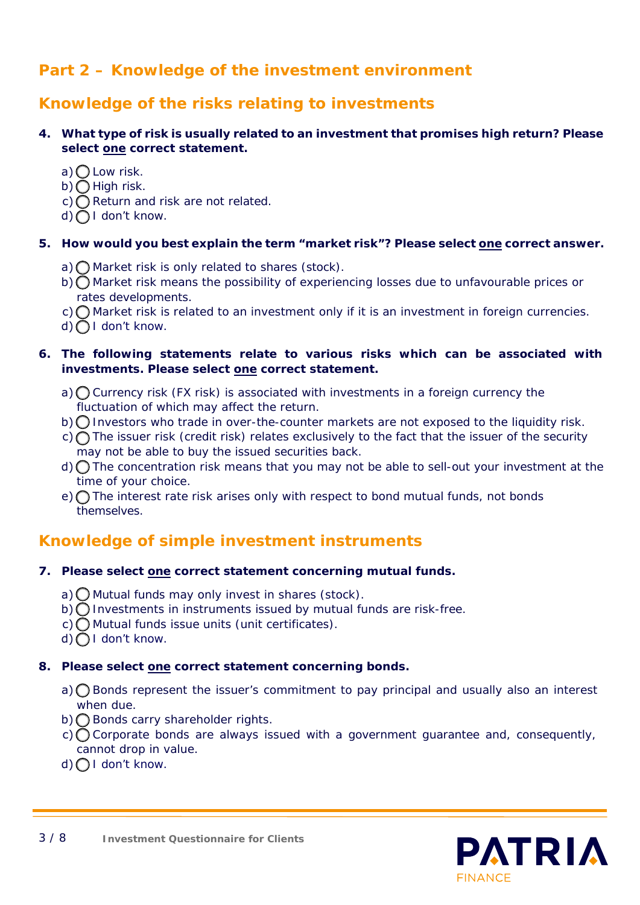## **Part 2 – Knowledge of the investment environment**

## **Knowledge of the risks relating to investments**

### **4. What type of risk is usually related to an investment that promises high return? Please select one correct statement.**

- a)  $\bigcirc$  Low risk.
- b)  $\bigcirc$  High risk.
- c)  $\bigcap$  Return and risk are not related.
- $d)$  I don't know.

### **5. How would you best explain the term "market risk"? Please select one correct answer.**

- a)  $\bigcap$  Market risk is only related to shares (stock).
- b) Market risk means the possibility of experiencing losses due to unfavourable prices or rates developments.
- $c)$  Market risk is related to an investment only if it is an investment in foreign currencies.
- d) O I don't know.

### **6. The following statements relate to various risks which can be associated with investments. Please select one correct statement.**

- a)  $\bigcap$  Currency risk (FX risk) is associated with investments in a foreign currency the fluctuation of which may affect the return.
- $b)$  Investors who trade in over-the-counter markets are not exposed to the liquidity risk.
- c) The issuer risk (credit risk) relates exclusively to the fact that the issuer of the security may not be able to buy the issued securities back.
- d) The concentration risk means that you may not be able to sell-out your investment at the time of your choice.
- e)  $\bigcap$  The interest rate risk arises only with respect to bond mutual funds, not bonds themselves.

## **Knowledge of simple investment instruments**

### **7. Please select one correct statement concerning mutual funds.**

- a)  $\bigcirc$  Mutual funds may only invest in shares (stock).
- $b)$  Investments in instruments issued by mutual funds are risk-free.
- c) Mutual funds issue units (unit certificates).
- d) O I don't know.

### **8. Please select one correct statement concerning bonds.**

- a)  $\bigcap$  Bonds represent the issuer's commitment to pay principal and usually also an interest when due.
- $b)$  Bonds carry shareholder rights.
- $c)$  Corporate bonds are always issued with a government quarantee and, consequently, cannot drop in value.
- d) ∩ I don't know.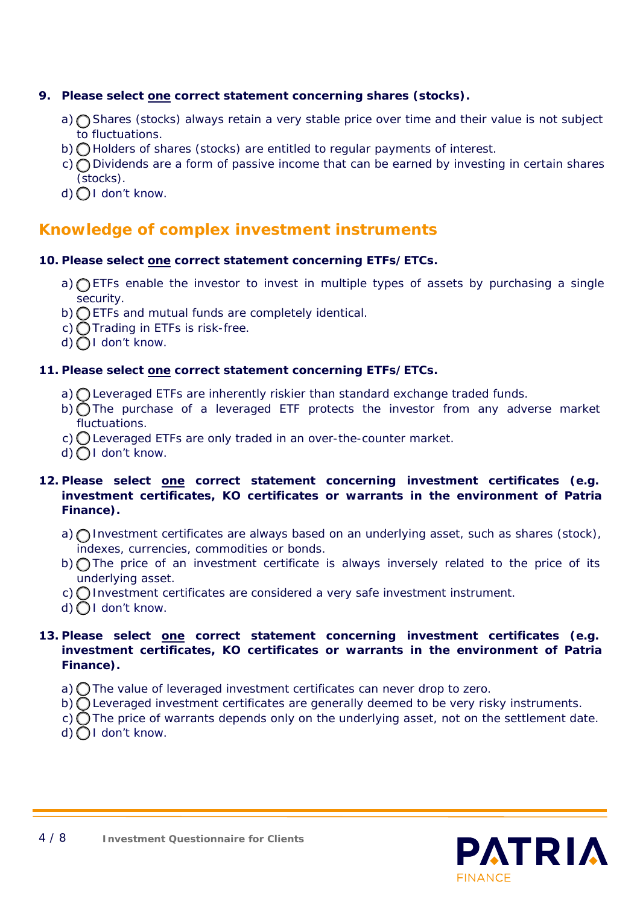### **9. Please select one correct statement concerning shares (stocks).**

- a)  $\bigcap$  Shares (stocks) always retain a very stable price over time and their value is not subject to fluctuations.
- $b)$   $\bigcap$  Holders of shares (stocks) are entitled to regular payments of interest.
- c) O Dividends are a form of passive income that can be earned by investing in certain shares (stocks).
- d) OI don't know.

### **Knowledge of complex investment instruments**

### **10. Please select one correct statement concerning ETFs/ETCs.**

- a) **O ETFs** enable the investor to invest in multiple types of assets by purchasing a single security.
- b) ETFs and mutual funds are completely identical.
- c)  $\bigcap$  Trading in ETFs is risk-free.
- $d)$   $\bigcap$  I don't know.

### **11. Please select one correct statement concerning ETFs/ETCs.**

- a)  $\bigcap$  Leveraged ETFs are inherently riskier than standard exchange traded funds.
- b) The purchase of a leveraged ETF protects the investor from any adverse market fluctuations.
- c) Leveraged ETFs are only traded in an over-the-counter market.
- $d)$  I don't know.

### **12. Please select one correct statement concerning investment certificates (e.g. investment certificates, KO certificates or warrants in the environment of Patria Finance).**

- a)  $\bigcap$  Investment certificates are always based on an underlying asset, such as shares (stock), indexes, currencies, commodities or bonds.
- b) The price of an investment certificate is always inversely related to the price of its underlying asset.
- c) Investment certificates are considered a very safe investment instrument.
- $d)$  I don't know.

### **13. Please select one correct statement concerning investment certificates (e.g. investment certificates, KO certificates or warrants in the environment of Patria Finance).**

- a)  $\bigcap$  The value of leveraged investment certificates can never drop to zero.
- b)  $\bigcirc$  Leveraged investment certificates are generally deemed to be very risky instruments.
- c)  $\bigcirc$  The price of warrants depends only on the underlying asset, not on the settlement date.
- $d)$  | don't know.

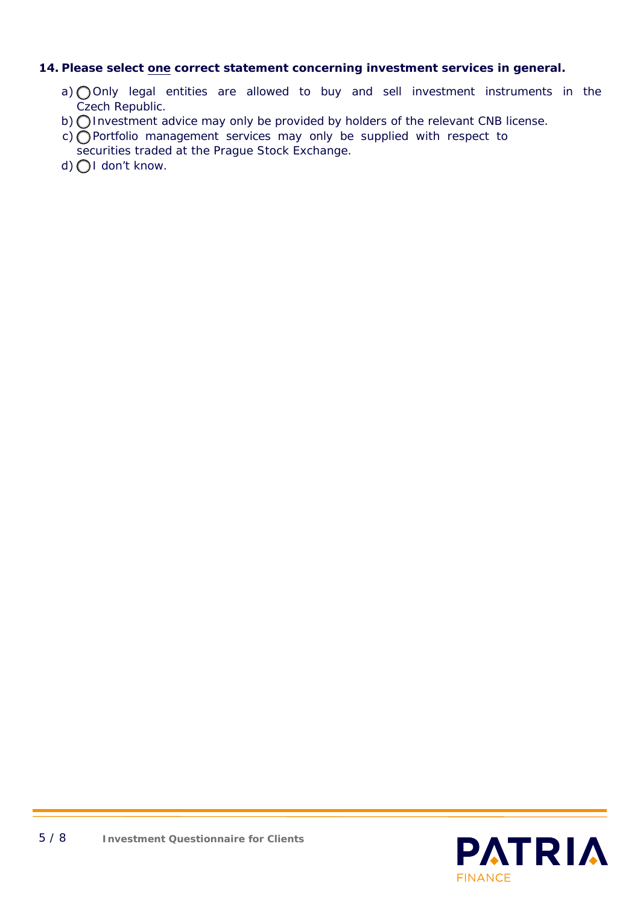### **14. Please select one correct statement concerning investment services in general.**

- a) Only legal entities are allowed to buy and sell investment instruments in the Czech Republic.
- b) O Investment advice may only be provided by holders of the relevant CNB license.
- c) Portfolio management services may only be supplied with respect to
- securities traded at the Prague Stock Exchange.
- $d)$   $\bigcap$  I don't know.

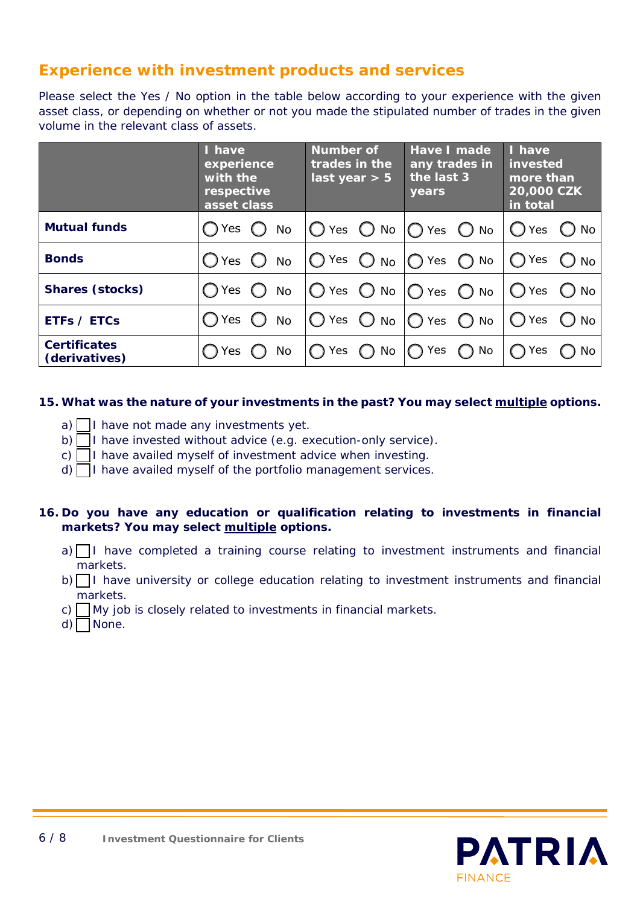## **Experience with investment products and services**

Please select the Yes / No option in the table below according to your experience with the given asset class, or depending on whether or not you made the stipulated number of trades in the given volume in the relevant class of assets.

|                                      | I have<br>experience<br>with the<br>respective<br>asset class | Number of<br>trades in the<br>last year $> 5$ | Have I made<br>any trades in<br>the last 3<br>years | I have<br>invested<br>more than<br>20,000 CZK<br>in total |
|--------------------------------------|---------------------------------------------------------------|-----------------------------------------------|-----------------------------------------------------|-----------------------------------------------------------|
| <b>Mutual funds</b>                  | Yes<br>No                                                     |                                               | Yes $\bigcirc$ No $\bigcirc$ Yes $\bigcirc$ No      | ( ) Yes<br>() No                                          |
| <b>Bonds</b>                         | $\bigcap$ Yes<br><b>No</b>                                    | Yes $\bigcirc$ No $\bigcirc$ Yes $\bigcirc$   | No                                                  | ◯ Yes<br>$\bigcirc$ No                                    |
| <b>Shares (stocks)</b>               | Yes<br><b>No</b>                                              | Yes $\bigcirc$ No $\bigcirc$ Yes $\bigcirc$   | No                                                  | $\bigcap$ Yes<br>$()$ No                                  |
| <b>ETFs / ETCs</b>                   | Yes<br><b>No</b>                                              |                                               | Yes $\bigcirc$ No $\bigcirc$ Yes $\bigcirc$ No      | ◯ Yes<br>$()$ No                                          |
| <b>Certificates</b><br>(derivatives) | No<br>Yes                                                     | $)$ No<br>Yes                                 | Yes<br>No                                           | Yes<br>No                                                 |

### **15. What was the nature of your investments in the past? You may select multiple options.**

- a)  $\Box$  I have not made any investments yet.
- b) I have invested without advice (e.g. execution-only service).
- c)  $\Box$  I have availed myself of investment advice when investing.
- $d)$  I have availed myself of the portfolio management services.

### **16. Do you have any education or qualification relating to investments in financial markets? You may select multiple options.**

- $a)$  I have completed a training course relating to investment instruments and financial markets.
- $b)$  I have university or college education relating to investment instruments and financial markets.
- c)  $\Box$  My job is closely related to investments in financial markets.
- $d)$  None.

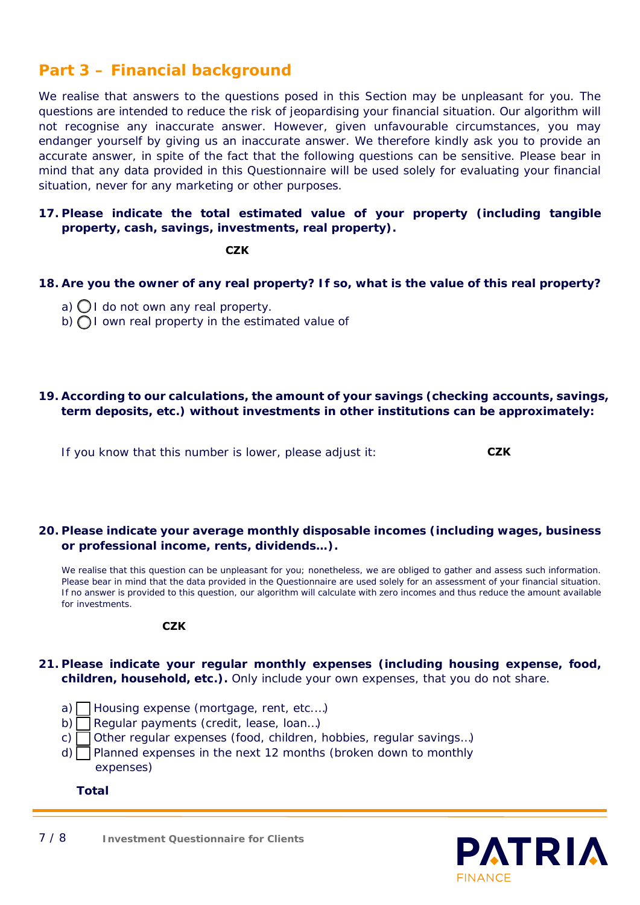## **Part 3 – Financial background**

We realise that answers to the questions posed in this Section may be unpleasant for you. The questions are intended to reduce the risk of jeopardising your financial situation. Our algorithm will not recognise any inaccurate answer. However, given unfavourable circumstances, you may endanger yourself by giving us an inaccurate answer. We therefore kindly ask you to provide an accurate answer, in spite of the fact that the following questions can be sensitive. Please bear in mind that any data provided in this Questionnaire will be used solely for evaluating your financial situation, never for any marketing or other purposes.

### **17. Please indicate the total estimated value of your property (including tangible property, cash, savings, investments, real property).**

**CZK**

- **18. Are you the owner of any real property? If so, what is the value of this real property?**
	- a)  $\bigcirc$  I do not own any real property.
	- b)  $\bigcap I$  own real property in the estimated value of

### **19. According to our calculations, the amount of your savings (checking accounts, savings, term deposits, etc.) without investments in other institutions can be approximately:**

If you know that this number is lower, please adjust it:

**20. Please indicate your average monthly disposable incomes (including wages, business or professional income, rents, dividends…).**

We realise that this question can be unpleasant for you; nonetheless, we are obliged to gather and assess such information. Please bear in mind that the data provided in the Questionnaire are used solely for an assessment of your financial situation. If no answer is provided to this question, our algorithm will calculate with zero incomes and thus reduce the amount available for investments.

#### **CZK**

- **21. Please indicate your regular monthly expenses (including housing expense, food, children, household, etc.).** *Only include your own expenses, that you do not share*.
	- a) Housing expense (mortgage, rent, etc.…)
	- b) Regular payments (credit, lease, loan…)
	- c)  $\Box$  Other regular expenses (food, children, hobbies, regular savings...)
	- $d)$  Planned expenses in the next 12 months (broken down to monthly expenses)
		- **Total**

**CZK**